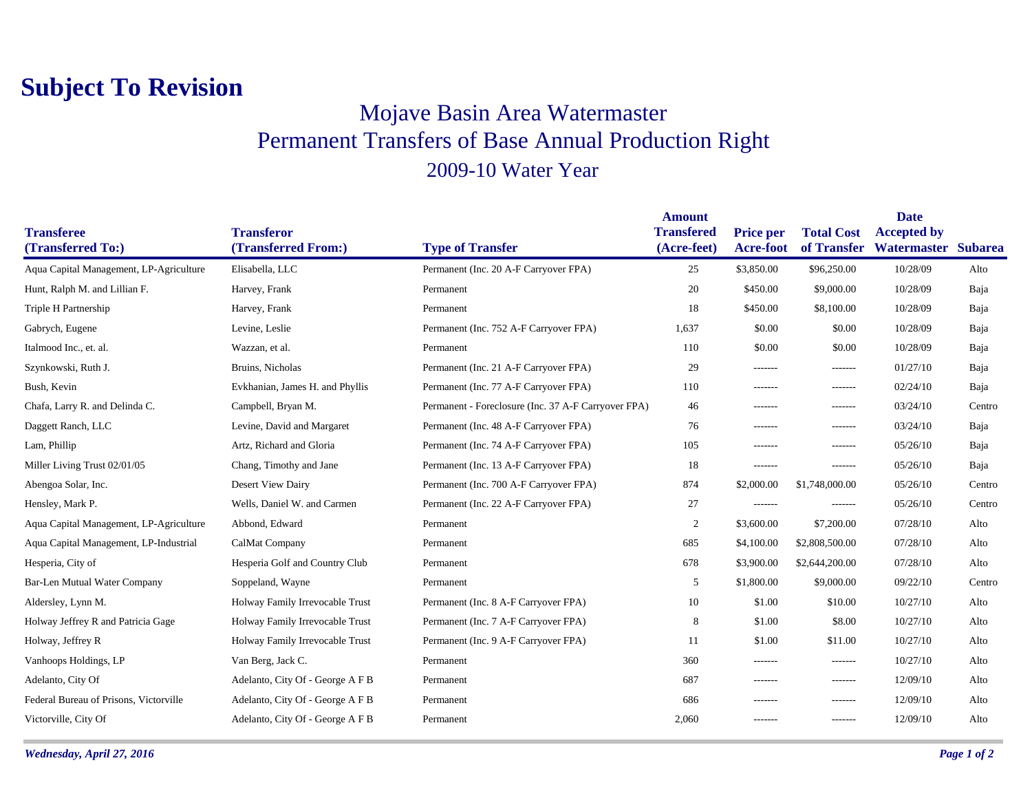## **Subject To Revision**

## Mojave Basin Area Watermaster Permanent Transfers of Base Annual Production Right 2009-10 Water Year

|                                         |                                          |                                                     | <b>Amount</b>                    |                               | <b>Date</b>                      |                                   |                |
|-----------------------------------------|------------------------------------------|-----------------------------------------------------|----------------------------------|-------------------------------|----------------------------------|-----------------------------------|----------------|
| <b>Transferee</b><br>(Transferred To:)  | <b>Transferor</b><br>(Transferred From:) | <b>Type of Transfer</b>                             | <b>Transfered</b><br>(Acre-feet) | <b>Price per</b><br>Acre-foot | <b>Total Cost</b><br>of Transfer | <b>Accepted by</b><br>Watermaster | <b>Subarea</b> |
| Aqua Capital Management, LP-Agriculture | Elisabella, LLC                          | Permanent (Inc. 20 A-F Carryover FPA)               | 25                               | \$3,850.00                    | \$96,250.00                      | 10/28/09                          | Alto           |
| Hunt, Ralph M. and Lillian F.           | Harvey, Frank                            | Permanent                                           | 20                               | \$450.00                      | \$9,000.00                       | 10/28/09                          | Baja           |
| Triple H Partnership                    | Harvey, Frank                            | Permanent                                           | 18                               | \$450.00                      | \$8,100.00                       | 10/28/09                          | Baja           |
| Gabrych, Eugene                         | Levine, Leslie                           | Permanent (Inc. 752 A-F Carryover FPA)              | 1,637                            | \$0.00                        | \$0.00                           | 10/28/09                          | Baja           |
| Italmood Inc., et. al.                  | Wazzan, et al.                           | Permanent                                           | 110                              | \$0.00                        | \$0.00                           | 10/28/09                          | Baja           |
| Szynkowski, Ruth J.                     | Bruins, Nicholas                         | Permanent (Inc. 21 A-F Carryover FPA)               | 29                               | -------                       | -------                          | 01/27/10                          | Baja           |
| Bush, Kevin                             | Evkhanian, James H. and Phyllis          | Permanent (Inc. 77 A-F Carryover FPA)               | 110                              | -------                       | -------                          | 02/24/10                          | Baja           |
| Chafa, Larry R. and Delinda C.          | Campbell, Bryan M.                       | Permanent - Foreclosure (Inc. 37 A-F Carryover FPA) | 46                               | -------                       | -------                          | 03/24/10                          | Centro         |
| Daggett Ranch, LLC                      | Levine, David and Margaret               | Permanent (Inc. 48 A-F Carryover FPA)               | 76                               | $- - - - - - -$               | -------                          | 03/24/10                          | Baja           |
| Lam, Phillip                            | Artz, Richard and Gloria                 | Permanent (Inc. 74 A-F Carryover FPA)               | 105                              | -------                       | -------                          | 05/26/10                          | Baja           |
| Miller Living Trust 02/01/05            | Chang, Timothy and Jane                  | Permanent (Inc. 13 A-F Carryover FPA)               | 18                               | $- - - - - - -$               | -------                          | 05/26/10                          | Baja           |
| Abengoa Solar, Inc.                     | Desert View Dairy                        | Permanent (Inc. 700 A-F Carryover FPA)              | 874                              | \$2,000.00                    | \$1,748,000.00                   | 05/26/10                          | Centro         |
| Hensley, Mark P.                        | Wells, Daniel W. and Carmen              | Permanent (Inc. 22 A-F Carryover FPA)               | 27                               | -------                       | -------                          | 05/26/10                          | Centro         |
| Aqua Capital Management, LP-Agriculture | Abbond, Edward                           | Permanent                                           | 2                                | \$3,600.00                    | \$7,200.00                       | 07/28/10                          | Alto           |
| Aqua Capital Management, LP-Industrial  | CalMat Company                           | Permanent                                           | 685                              | \$4,100.00                    | \$2,808,500.00                   | 07/28/10                          | Alto           |
| Hesperia, City of                       | Hesperia Golf and Country Club           | Permanent                                           | 678                              | \$3,900.00                    | \$2,644,200.00                   | 07/28/10                          | Alto           |
| Bar-Len Mutual Water Company            | Soppeland, Wayne                         | Permanent                                           | 5                                | \$1,800.00                    | \$9,000.00                       | 09/22/10                          | Centro         |
| Aldersley, Lynn M.                      | Holway Family Irrevocable Trust          | Permanent (Inc. 8 A-F Carryover FPA)                | 10                               | \$1.00                        | \$10.00                          | 10/27/10                          | Alto           |
| Holway Jeffrey R and Patricia Gage      | Holway Family Irrevocable Trust          | Permanent (Inc. 7 A-F Carryover FPA)                | 8                                | \$1.00                        | \$8.00                           | 10/27/10                          | Alto           |
| Holway, Jeffrey R                       | Holway Family Irrevocable Trust          | Permanent (Inc. 9 A-F Carryover FPA)                | 11                               | \$1.00                        | \$11.00                          | 10/27/10                          | Alto           |
| Vanhoops Holdings, LP                   | Van Berg, Jack C.                        | Permanent                                           | 360                              | -------                       | -------                          | 10/27/10                          | Alto           |
| Adelanto, City Of                       | Adelanto, City Of - George A F B         | Permanent                                           | 687                              | -------                       | -------                          | 12/09/10                          | Alto           |
| Federal Bureau of Prisons, Victorville  | Adelanto, City Of - George A F B         | Permanent                                           | 686                              | $- - - - - - -$               | -------                          | 12/09/10                          | Alto           |
| Victorville, City Of                    | Adelanto, City Of - George A F B         | Permanent                                           | 2,060                            | -------                       | -------                          | 12/09/10                          | Alto           |